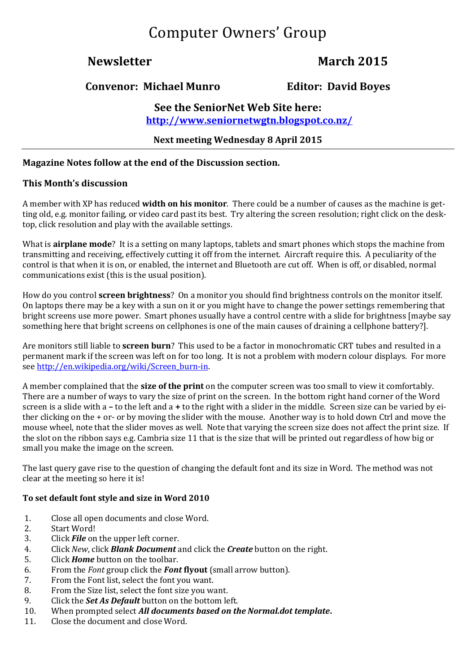# Computer Owners' Group

# **Newsletter March 2015**

### **Convenor: Michael Munro Editor: David Boyes**

### **See the SeniorNet Web Site here: <http://www.seniornetwgtn.blogspot.co.nz/>**

### **Next meeting Wednesday 8 April 2015**

#### **Magazine Notes follow at the end of the Discussion section.**

#### **This Month's discussion**

A member with XP has reduced **width on his monitor**. There could be a number of causes as the machine is getting old, e.g. monitor failing, or video card past its best. Try altering the screen resolution; right click on the desktop, click resolution and play with the available settings.

What is **airplane mode**? It is a setting on many laptops, tablets and smart phones which stops the machine from transmitting and receiving, effectively cutting it off from the internet. Aircraft require this. A peculiarity of the control is that when it is on, or enabled, the internet and Bluetooth are cut off. When is off, or disabled, normal communications exist (this is the usual position).

How do you control **screen brightness**? On a monitor you should find brightness controls on the monitor itself. On laptops there may be a key with a sun on it or you might have to change the power settings remembering that bright screens use more power. Smart phones usually have a control centre with a slide for brightness [maybe say something here that bright screens on cellphones is one of the main causes of draining a cellphone battery?].

Are monitors still liable to **screen burn**? This used to be a factor in monochromatic CRT tubes and resulted in a permanent mark if the screen was left on for too long. It is not a problem with modern colour displays. For more see [http://en.wikipedia.org/wiki/Screen\\_burn-in.](http://en.wikipedia.org/wiki/Screen_burn-in)

A member complained that the **size of the print** on the computer screen was too small to view it comfortably. There are a number of ways to vary the size of print on the screen. In the bottom right hand corner of the Word screen is a slide with a **–** to the left and a **+** to the right with a slider in the middle. Screen size can be varied by either clicking on the + or- or by moving the slider with the mouse. Another way is to hold down Ctrl and move the mouse wheel, note that the slider moves as well. Note that varying the screen size does not affect the print size. If the slot on the ribbon says e.g. Cambria size 11 that is the size that will be printed out regardless of how big or small you make the image on the screen.

The last query gave rise to the question of changing the default font and its size in Word. The method was not clear at the meeting so here it is!

#### **To set default font style and size in Word 2010**

- 1. Close all open documents and close Word.
- 2. Start Word!
- 3. Click *File* on the upper left corner.
- 4. Click *New*, click *Blank Document* and click the *Create* button on the right.
- 5. Click *Home* button on the toolbar.
- 6. From the *Font* group click the *Font* **flyout** (small arrow button).
- 7. From the Font list, select the font you want.
- 8. From the Size list, select the font size you want.
- 9. Click the *Set As Default* button on the bottom left.
- 10. When prompted select *All documents based on the Normal.dot template***.**
- 11. Close the document and close Word.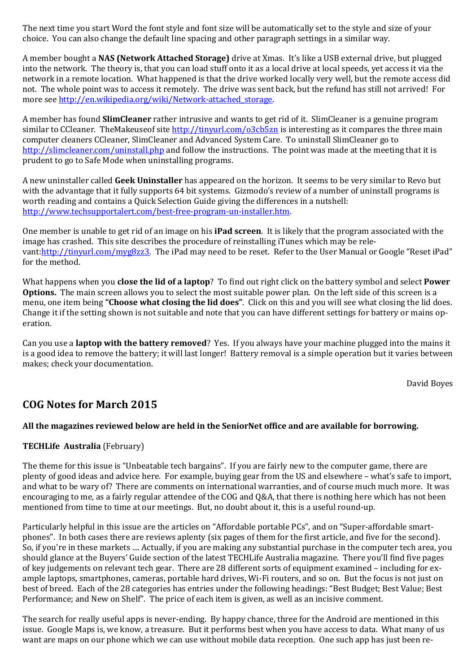The next time you start Word the font style and font size will be automatically set to the style and size of your choice. You can also change the default line spacing and other paragraph settings in a similar way.

A member bought a **NAS (Network Attached Storage)** drive at Xmas. It's like a USB external drive, but plugged into the network. The theory is, that you can load stuff onto it as a local drive at local speeds, yet access it via the network in a remote location. What happened is that the drive worked locally very well, but the remote access did not. The whole point was to access it remotely. The drive was sent back, but the refund has still not arrived! For more se[e http://en.wikipedia.org/wiki/Network-attached\\_storage.](http://en.wikipedia.org/wiki/Network-attached_storage)

A member has found **SlimCleaner** rather intrusive and wants to get rid of it. SlimCleaner is a genuine program similar to CCleaner. TheMakeuseof sit[e http://tinyurl.com/o3cb5zn](http://tinyurl.com/o3cb5zn) is interesting as it compares the three main computer cleaners CCleaner, SlimCleaner and Advanced System Care. To uninstall SlimCleaner go to <http://slimcleaner.com/uninstall.php> and follow the instructions. The point was made at the meeting that it is prudent to go to Safe Mode when uninstalling programs.

A new uninstaller called **Geek Uninstaller** has appeared on the horizon. It seems to be very similar to Revo but with the advantage that it fully supports 64 bit systems. Gizmodo's review of a number of uninstall programs is worth reading and contains a Quick Selection Guide giving the differences in a nutshell: [http://www.techsupportalert.com/best-free-program-un-installer.htm.](http://www.techsupportalert.com/best-free-program-un-installer.htm)

One member is unable to get rid of an image on his **iPad screen**. It is likely that the program associated with the image has crashed. This site describes the procedure of reinstalling iTunes which may be relevant: http://tinyurl.com/myg8zz3. The iPad may need to be reset. Refer to the User Manual or Google "Reset iPad" for the method.

What happens when you **close the lid of a laptop**? To find out right click on the battery symbol and select **Power Options.** The main screen allows you to select the most suitable power plan. On the left side of this screen is a menu, one item being **"Choose what closing the lid does"**. Click on this and you will see what closing the lid does. Change it if the setting shown is not suitable and note that you can have different settings for battery or mains operation.

Can you use a **laptop with the battery removed**? Yes. If you always have your machine plugged into the mains it is a good idea to remove the battery; it will last longer! Battery removal is a simple operation but it varies between makes; check your documentation.

David Boyes

## **COG Notes for March 2015**

#### **All the magazines reviewed below are held in the SeniorNet office and are available for borrowing.**

### **TECHLife Australia** (February)

The theme for this issue is "Unbeatable tech bargains". If you are fairly new to the computer game, there are plenty of good ideas and advice here. For example, buying gear from the US and elsewhere – what's safe to import, and what to be wary of? There are comments on international warranties, and of course much much more. It was encouraging to me, as a fairly regular attendee of the COG and Q&A, that there is nothing here which has not been mentioned from time to time at our meetings. But, no doubt about it, this is a useful round-up.

Particularly helpful in this issue are the articles on "Affordable portable PCs", and on "Super-affordable smartphones". In both cases there are reviews aplenty (six pages of them for the first article, and five for the second). So, if you're in these markets .... Actually, if you are making any substantial purchase in the computer tech area, you should glance at the Buyers' Guide section of the latest TECHLife Australia magazine. There you'll find five pages of key judgements on relevant tech gear. There are 28 different sorts of equipment examined – including for example laptops, smartphones, cameras, portable hard drives, Wi-Fi routers, and so on. But the focus is not just on best of breed. Each of the 28 categories has entries under the following headings: "Best Budget; Best Value; Best Performance; and New on Shelf". The price of each item is given, as well as an incisive comment.

The search for really useful apps is never-ending. By happy chance, three for the Android are mentioned in this issue. Google Maps is, we know, a treasure. But it performs best when you have access to data. What many of us want are maps on our phone which we can use without mobile data reception. One such app has just been re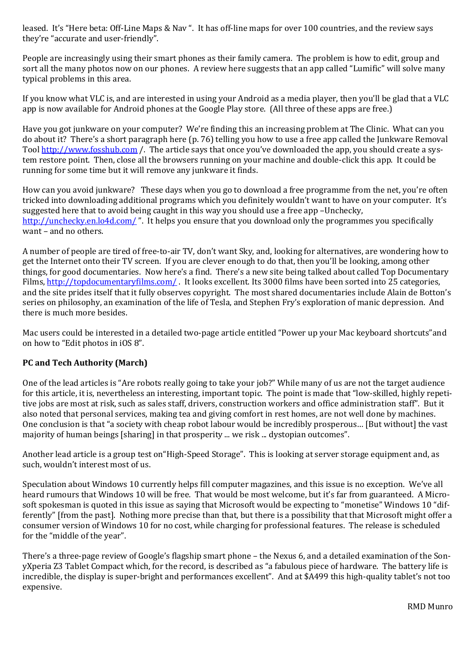leased. It's "Here beta: Off-Line Maps & Nav ". It has off-line maps for over 100 countries, and the review says they're "accurate and user-friendly".

People are increasingly using their smart phones as their family camera. The problem is how to edit, group and sort all the many photos now on our phones. A review here suggests that an app called "Lumific" will solve many typical problems in this area.

If you know what VLC is, and are interested in using your Android as a media player, then you'll be glad that a VLC app is now available for Android phones at the Google Play store. (All three of these apps are free.)

Have you got junkware on your computer? We're finding this an increasing problem at The Clinic. What can you do about it? There's a short paragraph here (p. 76) telling you how to use a free app called the Junkware Removal Tool [http://www.fosshub.com](http://www.fosshub.com/) /. The article says that once you've downloaded the app, you should create a system restore point. Then, close all the browsers running on your machine and double-click this app. It could be running for some time but it will remove any junkware it finds.

How can you avoid junkware? These days when you go to download a free programme from the net, you're often tricked into downloading additional programs which you definitely wouldn't want to have on your computer. It's suggested here that to avoid being caught in this way you should use a free app –Unchecky, <http://unchecky.en.lo4d.com/>". It helps you ensure that you download only the programmes you specifically want – and no others.

A number of people are tired of free-to-air TV, don't want Sky, and, looking for alternatives, are wondering how to get the Internet onto their TV screen. If you are clever enough to do that, then you'll be looking, among other things, for good documentaries. Now here's a find. There's a new site being talked about called Top Documentary Films, <http://topdocumentaryfilms.com/>. It looks excellent. Its 3000 films have been sorted into 25 categories, and the site prides itself that it fully observes copyright. The most shared documentaries include Alain de Botton's series on philosophy, an examination of the life of Tesla, and Stephen Fry's exploration of manic depression. And there is much more besides.

Mac users could be interested in a detailed two-page article entitled "Power up your Mac keyboard shortcuts"and on how to "Edit photos in iOS 8".

### **PC and Tech Authority (March)**

One of the lead articles is "Are robots really going to take your job?" While many of us are not the target audience for this article, it is, nevertheless an interesting, important topic. The point is made that "low-skilled, highly repetitive jobs are most at risk, such as sales staff, drivers, construction workers and office administration staff". But it also noted that personal services, making tea and giving comfort in rest homes, are not well done by machines. One conclusion is that "a society with cheap robot labour would be incredibly prosperous… [But without] the vast majority of human beings [sharing] in that prosperity ... we risk ... dystopian outcomes".

Another lead article is a group test on"High-Speed Storage". This is looking at server storage equipment and, as such, wouldn't interest most of us.

Speculation about Windows 10 currently helps fill computer magazines, and this issue is no exception. We've all heard rumours that Windows 10 will be free. That would be most welcome, but it's far from guaranteed. A Microsoft spokesman is quoted in this issue as saying that Microsoft would be expecting to "monetise" Windows 10 "differently" [from the past]. Nothing more precise than that, but there is a possibility that that Microsoft might offer a consumer version of Windows 10 for no cost, while charging for professional features. The release is scheduled for the "middle of the year".

There's a three-page review of Google's flagship smart phone – the Nexus 6, and a detailed examination of the SonyXperia Z3 Tablet Compact which, for the record, is described as "a fabulous piece of hardware. The battery life is incredible, the display is super-bright and performances excellent". And at \$A499 this high-quality tablet's not too expensive.